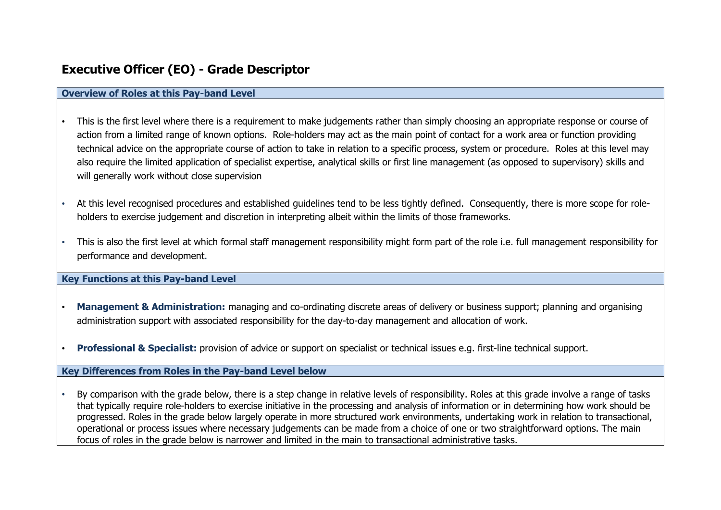# **Executive Officer (EO) - Grade Descriptor**

## **Overview of Roles at this Pay-band Level**

- This is the first level where there is a requirement to make judgements rather than simply choosing an appropriate response or course of action from a limited range of known options. Role-holders may act as the main point of contact for a work area or function providing technical advice on the appropriate course of action to take in relation to a specific process, system or procedure. Roles at this level may also require the limited application of specialist expertise, analytical skills or first line management (as opposed to supervisory) skills and will generally work without close supervision
- At this level recognised procedures and established guidelines tend to be less tightly defined. Consequently, there is more scope for roleholders to exercise judgement and discretion in interpreting albeit within the limits of those frameworks.
- This is also the first level at which formal staff management responsibility might form part of the role i.e. full management responsibility for performance and development.

### **Key Functions at this Pay-band Level**

- **Management & Administration:** managing and co-ordinating discrete areas of delivery or business support; planning and organising administration support with associated responsibility for the day-to-day management and allocation of work.
- **Professional & Specialist:** provision of advice or support on specialist or technical issues e.g. first-line technical support.

### **Key Differences from Roles in the Pay-band Level below**

• By comparison with the grade below, there is a step change in relative levels of responsibility. Roles at this grade involve a range of tasks that typically require role-holders to exercise initiative in the processing and analysis of information or in determining how work should be progressed. Roles in the grade below largely operate in more structured work environments, undertaking work in relation to transactional, operational or process issues where necessary judgements can be made from a choice of one or two straightforward options. The main focus of roles in the grade below is narrower and limited in the main to transactional administrative tasks.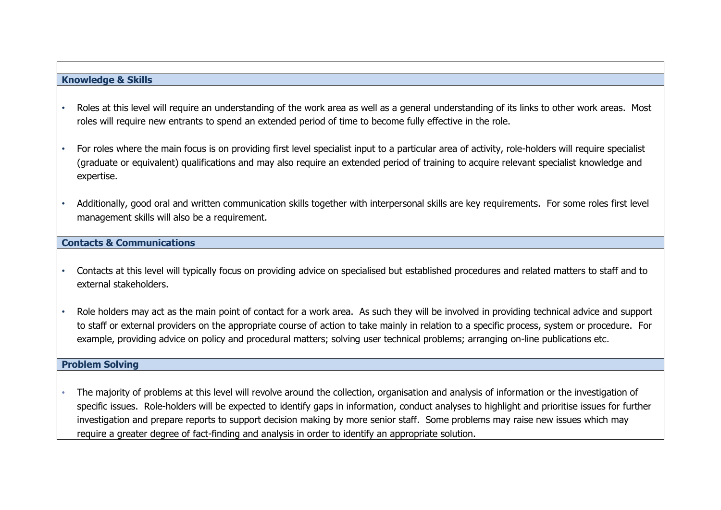# **Knowledge & Skills**

- Roles at this level will require an understanding of the work area as well as a general understanding of its links to other work areas. Most roles will require new entrants to spend an extended period of time to become fully effective in the role.
- For roles where the main focus is on providing first level specialist input to a particular area of activity, role-holders will require specialist (graduate or equivalent) qualifications and may also require an extended period of training to acquire relevant specialist knowledge and expertise.
- Additionally, good oral and written communication skills together with interpersonal skills are key requirements. For some roles first level management skills will also be a requirement.

### **Contacts & Communications**

- Contacts at this level will typically focus on providing advice on specialised but established procedures and related matters to staff and to external stakeholders.
- Role holders may act as the main point of contact for a work area. As such they will be involved in providing technical advice and support to staff or external providers on the appropriate course of action to take mainly in relation to a specific process, system or procedure. For example, providing advice on policy and procedural matters; solving user technical problems; arranging on-line publications etc.

## **Problem Solving**

• The majority of problems at this level will revolve around the collection, organisation and analysis of information or the investigation of specific issues. Role-holders will be expected to identify gaps in information, conduct analyses to highlight and prioritise issues for further investigation and prepare reports to support decision making by more senior staff. Some problems may raise new issues which may require a greater degree of fact-finding and analysis in order to identify an appropriate solution.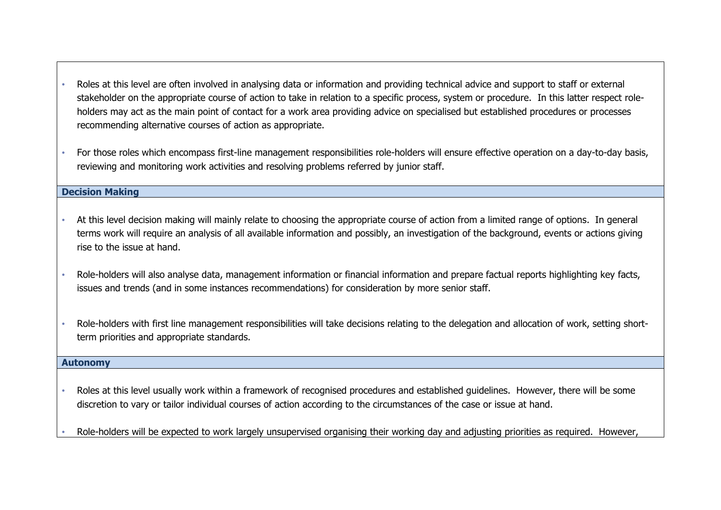- Roles at this level are often involved in analysing data or information and providing technical advice and support to staff or external stakeholder on the appropriate course of action to take in relation to a specific process, system or procedure. In this latter respect roleholders may act as the main point of contact for a work area providing advice on specialised but established procedures or processes recommending alternative courses of action as appropriate.
- For those roles which encompass first-line management responsibilities role-holders will ensure effective operation on a day-to-day basis, reviewing and monitoring work activities and resolving problems referred by junior staff.

## **Decision Making**

- At this level decision making will mainly relate to choosing the appropriate course of action from a limited range of options. In general terms work will require an analysis of all available information and possibly, an investigation of the background, events or actions giving rise to the issue at hand.
- Role-holders will also analyse data, management information or financial information and prepare factual reports highlighting key facts, issues and trends (and in some instances recommendations) for consideration by more senior staff.
- Role-holders with first line management responsibilities will take decisions relating to the delegation and allocation of work, setting shortterm priorities and appropriate standards.

#### **Autonomy**

- Roles at this level usually work within a framework of recognised procedures and established guidelines. However, there will be some discretion to vary or tailor individual courses of action according to the circumstances of the case or issue at hand.
- Role-holders will be expected to work largely unsupervised organising their working day and adjusting priorities as required. However,